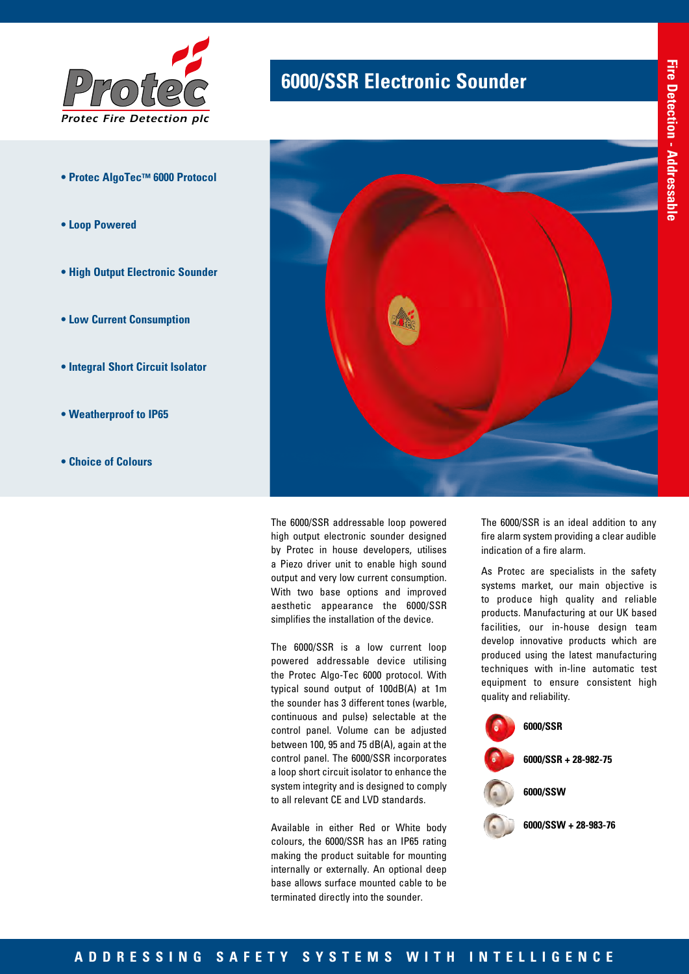

- **Protec AlgoTec™ 6000 Protocol**
- **Loop Powered**
- **High Output Electronic Sounder**
- **Low Current Consumption**
- **Integral Short Circuit Isolator**
- **Weatherproof to IP65**
- **Choice of Colours**

# **6000/SSR Electronic Sounder**



The 6000/SSR addressable loop powered high output electronic sounder designed by Protec in house developers, utilises a Piezo driver unit to enable high sound output and very low current consumption. With two base options and improved aesthetic appearance the 6000/SSR simplifies the installation of the device.

The 6000/SSR is a low current loop powered addressable device utilising the Protec Algo-Tec 6000 protocol. With typical sound output of 100dB(A) at 1m the sounder has 3 different tones (warble, continuous and pulse) selectable at the control panel. Volume can be adjusted between 100, 95 and 75 dB(A), again at the control panel. The 6000/SSR incorporates a loop short circuit isolator to enhance the system integrity and is designed to comply to all relevant CE and LVD standards.

Available in either Red or White body colours, the 6000/SSR has an IP65 rating making the product suitable for mounting internally or externally. An optional deep base allows surface mounted cable to be terminated directly into the sounder.

The 6000/SSR is an ideal addition to any fire alarm system providing a clear audible indication of a fire alarm.

As Protec are specialists in the safety systems market, our main objective is to produce high quality and reliable products. Manufacturing at our UK based facilities, our in-house design team develop innovative products which are produced using the latest manufacturing techniques with in-line automatic test equipment to ensure consistent high quality and reliability.